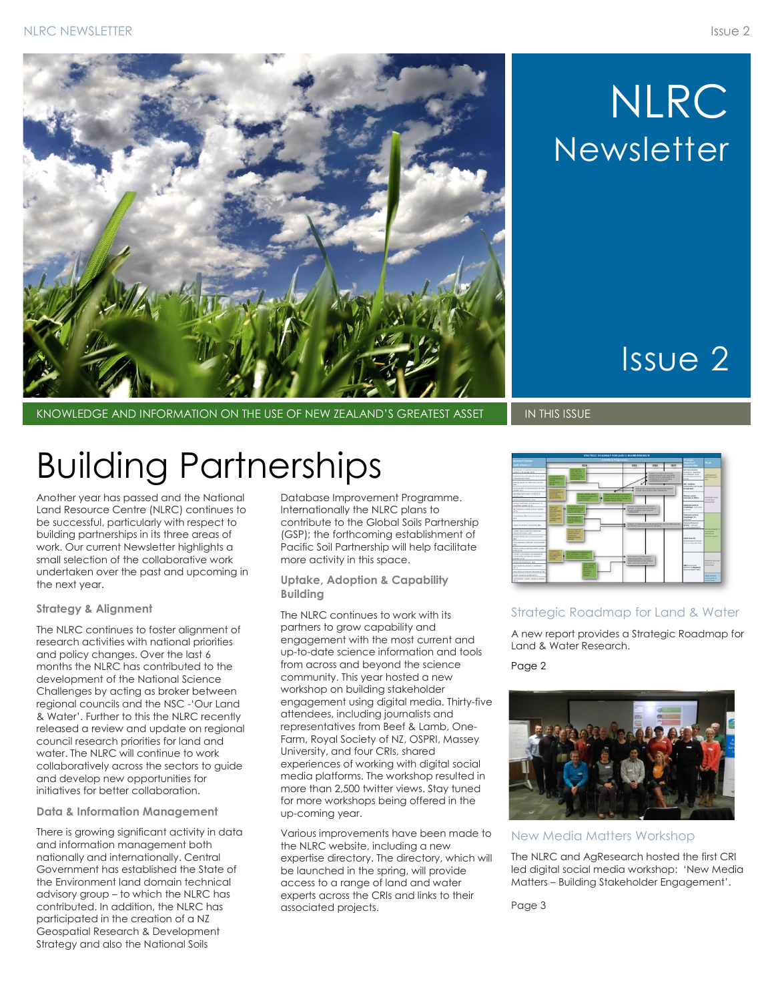

## NLRC **Newsletter**

## Issue 2

KNOWLEDGE AND INFORMATION ON THE USE OF NEW ZEALAND'S GREATEST ASSET IN THIS ISSUE

## Building Partnerships

Another year has passed and the National Land Resource Centre (NLRC) continues to be successful, particularly with respect to building partnerships in its three areas of work. Our current Newsletter highlights a small selection of the collaborative work undertaken over the past and upcoming in the next year.

#### **Strategy & Alignment**

The NLRC continues to foster alignment of research activities with national priorities and policy changes. Over the last 6 months the NLRC has contributed to the development of the National Science Challenges by acting as broker between regional councils and the NSC -'Our Land & Water'. Further to this the NLRC recently released a review and update on regional council research priorities for land and water. The NLRC will continue to work collaboratively across the sectors to guide and develop new opportunities for initiatives for better collaboration.

#### **Data & Information Management**

There is growing significant activity in data and information management both nationally and internationally. Central Government has established the State of the Environment land domain technical advisory group – to which the NLRC has contributed. In addition, the NLRC has participated in the creation of a NZ Geospatial Research & Development Strategy and also the National Soils

Database Improvement Programme. Internationally the NLRC plans to contribute to the Global Soils Partnership (GSP); the forthcoming establishment of Pacific Soil Partnership will help facilitate more activity in this space.

**Uptake, Adoption & Capability Building**

The NLRC continues to work with its partners to grow capability and engagement with the most current and up-to-date science information and tools from across and beyond the science community. This year hosted a new workshop on building stakeholder engagement using digital media. Thirty-five attendees, including journalists and representatives from Beef & Lamb, One-Farm, Royal Society of NZ, OSPRI, Massey University, and four CRIs, shared experiences of working with digital social media platforms. The workshop resulted in more than 2,500 twitter views. Stay tuned for more workshops being offered in the up-coming year.

Various improvements have been made to the NLRC website, including a new expertise directory. The directory, which will be launched in the spring, will provide access to a range of land and water experts across the CRIs and links to their associated projects.



#### Strategic Roadmap for Land & Water

A new report provides a Strategic Roadmap for Land & Water Research.

Page 2



#### New Media Matters Workshop

The NLRC and AgResearch hosted the first CRI led digital social media workshop: 'New Media Matters – Building Stakeholder Engagement'.

Page 3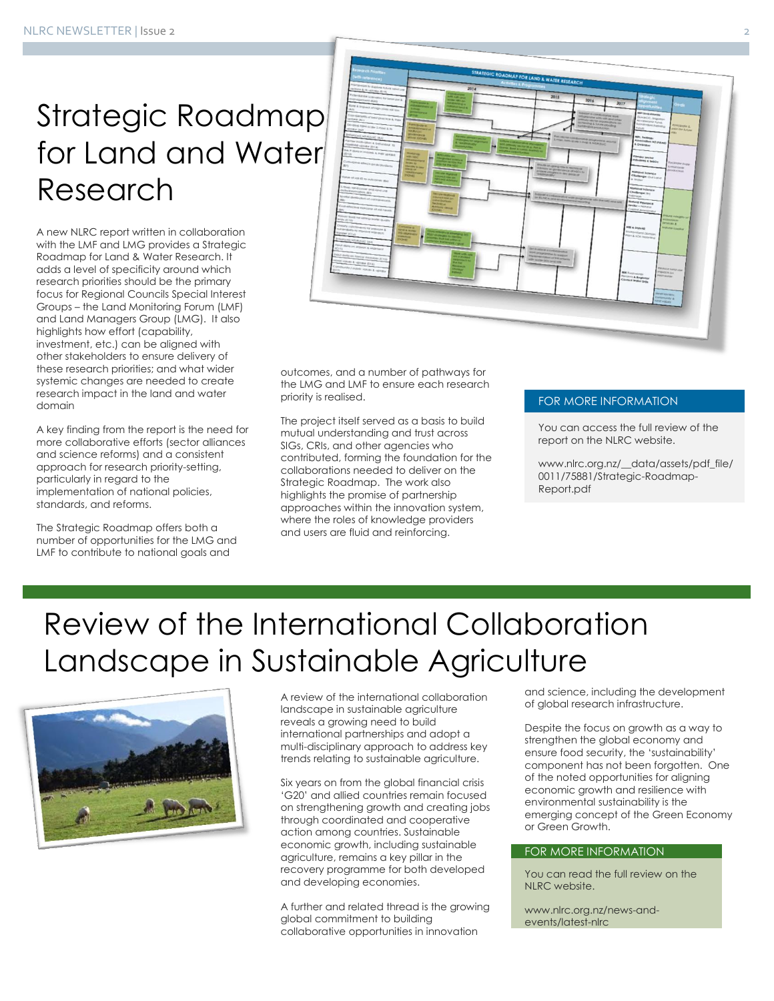## Strategic Roadmap for Land and Water Research

A new NLRC report written in collaboration with the LMF and LMG provides a Strategic Roadmap for Land & Water Research. It adds a level of specificity around which research priorities should be the primary focus for Regional Councils Special Interest Groups – the Land Monitoring Forum (LMF) and Land Managers Group (LMG). It also highlights how effort (capability, investment, etc.) can be aligned with other stakeholders to ensure delivery of these research priorities; and what wider systemic changes are needed to create research impact in the land and water domain

A key finding from the report is the need for more collaborative efforts (sector alliances and science reforms) and a consistent approach for research priority-setting, particularly in regard to the implementation of national policies, standards, and reforms.

The Strategic Roadmap offers both a number of opportunities for the LMG and LMF to contribute to national goals and



outcomes, and a number of pathways for the LMG and LMF to ensure each research priority is realised.

The project itself served as a basis to build mutual understanding and trust across SIGs, CRIs, and other agencies who contributed, forming the foundation for the collaborations needed to deliver on the Strategic Roadmap. The work also highlights the promise of partnership approaches within the innovation system, where the roles of knowledge providers and users are fluid and reinforcing.

#### FOR MORE INFORMATION

You can access the full review of the report on the NLRC website.

www.nlrc.org.nz/\_\_data/assets/pdf\_file/ 0011/75881/Strategic-Roadmap-Report.pdf

### Review of the International Collaboration Landscape in Sustainable Agriculture



A review of the international collaboration landscape in sustainable agriculture reveals a growing need to build international partnerships and adopt a multi-disciplinary approach to address key trends relating to sustainable agriculture.

Six years on from the global financial crisis 'G20' and allied countries remain focused on strengthening growth and creating jobs through coordinated and cooperative action among countries. Sustainable economic growth, including sustainable agriculture, remains a key pillar in the recovery programme for both developed and developing economies.

A further and related thread is the growing global commitment to building collaborative opportunities in innovation

and science, including the development of global research infrastructure.

Despite the focus on growth as a way to strengthen the global economy and ensure food security, the 'sustainability' component has not been forgotten. One of the noted opportunities for aligning economic growth and resilience with environmental sustainability is the emerging concept of the Green Economy or Green Growth.

#### FOR MORE INFORMATION

You can read the full review on the NLRC website.

www.nlrc.org.nz/news-andevents/latest-nlrc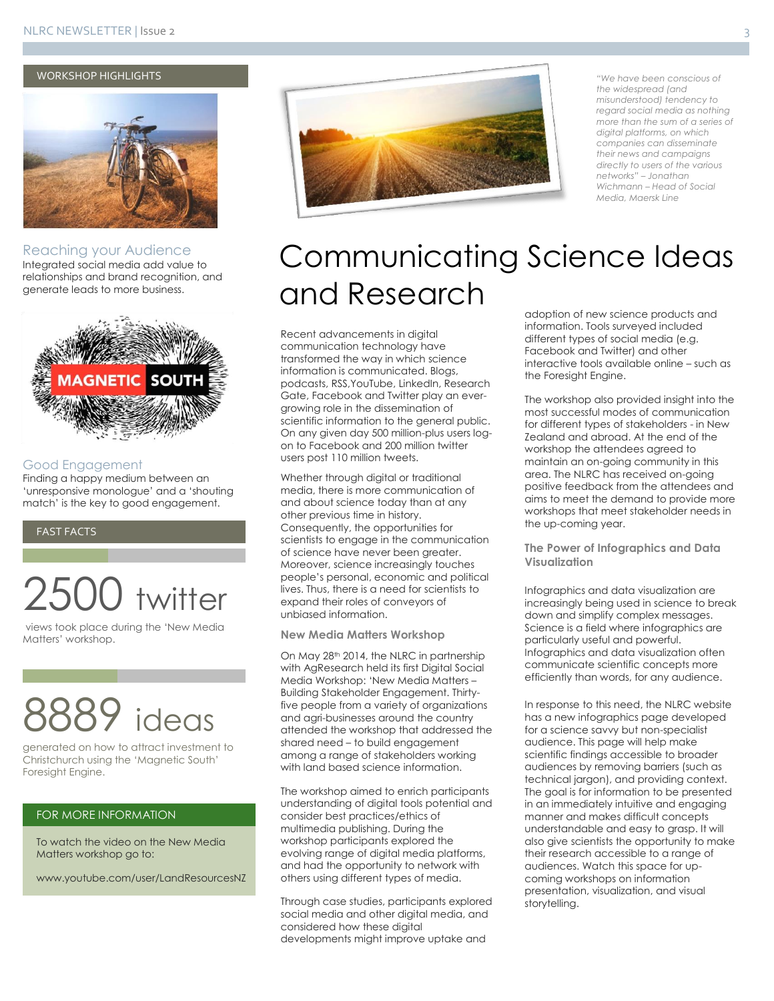#### WORKSHOP HIGHLIGHTS



Reaching your Audience Integrated social media add value to relationships and brand recognition, and generate leads to more business.



#### Good Engagement

Finding a happy medium between an 'unresponsive monologue' and a 'shouting match' is the key to good engagement.

#### FAST FACTS

## twitter

views took place during the 'New Media Matters' workshop.

# ideas

generated on how to attract investment to Christchurch using the 'Magnetic South' Foresight Engine.

#### FOR MORE INFORMATION

To watch the video on the New Media Matters workshop go to:

www.youtube.com/user/LandResourcesNZ



*"We have been conscious of the widespread (and misunderstood) tendency to regard social media as nothing more than the sum of a series of digital platforms, on which companies can disseminate their news and campaigns directly to users of the various networks" – Jonathan Wichmann – Head of Social Media, Maersk Line*

### Communicating Science Ideas and Research

Recent advancements in digital communication technology have transformed the way in which science information is communicated. Blogs, podcasts, RSS,YouTube, LinkedIn, Research Gate, Facebook and Twitter play an evergrowing role in the dissemination of scientific information to the general public. On any given day 500 million-plus users logon to Facebook and 200 million twitter users post 110 million tweets.

Whether through digital or traditional media, there is more communication of and about science today than at any other previous time in history. Consequently, the opportunities for scientists to engage in the communication of science have never been greater. Moreover, science increasingly touches people's personal, economic and political lives. Thus, there is a need for scientists to expand their roles of conveyors of unbiased information.

#### **New Media Matters Workshop**

On May 28<sup>th</sup> 2014, the NLRC in partnership with AgResearch held its first Digital Social Media Workshop: 'New Media Matters – Building Stakeholder Engagement. Thirtyfive people from a variety of organizations and agri-businesses around the country attended the workshop that addressed the shared need – to build engagement among a range of stakeholders working with land based science information.

The workshop aimed to enrich participants understanding of digital tools potential and consider best practices/ethics of multimedia publishing. During the workshop participants explored the evolving range of digital media platforms, and had the opportunity to network with others using different types of media.

Through case studies, participants explored social media and other digital media, and considered how these digital developments might improve uptake and

adoption of new science products and information. Tools surveyed included different types of social media (e.g. Facebook and Twitter) and other interactive tools available online – such as the Foresight Engine.

The workshop also provided insight into the most successful modes of communication for different types of stakeholders - in New Zealand and abroad. At the end of the workshop the attendees agreed to maintain an on-going community in this area. The NLRC has received on-going positive feedback from the attendees and aims to meet the demand to provide more workshops that meet stakeholder needs in the up-coming year.

**The Power of Infographics and Data Visualization**

Infographics and data visualization are increasingly being used in science to break down and simplify complex messages. Science is a field where infographics are particularly useful and powerful. Infographics and data visualization often communicate scientific concepts more efficiently than words, for any audience.

In response to this need, the NLRC website has a new infographics page developed for a science savvy but non-specialist audience. This page will help make scientific findings accessible to broader audiences by removing barriers (such as technical jargon), and providing context. The goal is for information to be presented in an immediately intuitive and engaging manner and makes difficult concepts understandable and easy to grasp. It will also give scientists the opportunity to make their research accessible to a range of audiences. Watch this space for upcoming workshops on information presentation, visualization, and visual storytelling.